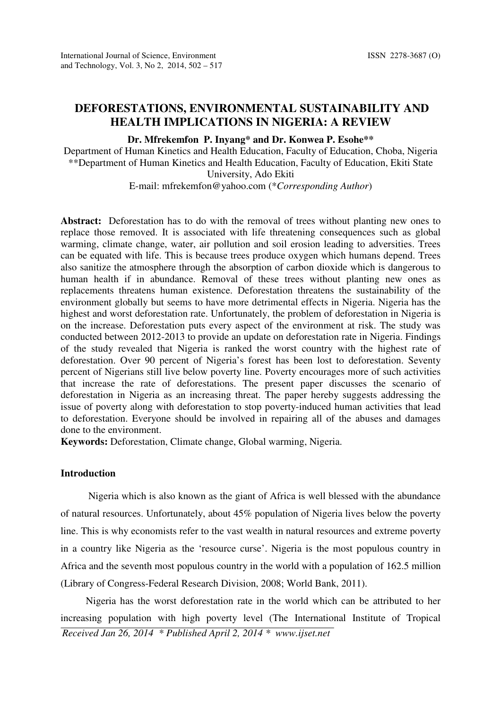# DEFORESTATIONS, ENVIRONMENTAL SUSTAINABILITY AND HEALTH IMPLICATIONS IN NIGERIA: A REVIEW

# Dr. Mfrekemfon P. Inyang\* and Dr. Konwea P. Esohe\*\*

Department of Human Kinetics and Health Education, Faculty of Education, Choba, Nigeria \*\*Department of Human Kinetics and Health Education, Faculty of Education, Ekiti State University, Ado Ekiti

E-mail: mfrekemfon@yahoo.com (\*Corresponding Author)

Abstract: Deforestation has to do with the removal of trees without planting new ones to replace those removed. It is associated with life threatening consequences such as global warming, climate change, water, air pollution and soil erosion leading to adversities. Trees can be equated with life. This is because trees produce oxygen which humans depend. Trees also sanitize the atmosphere through the absorption of carbon dioxide which is dangerous to human health if in abundance. Removal of these trees without planting new ones as replacements threatens human existence. Deforestation threatens the sustainability of the environment globally but seems to have more detrimental effects in Nigeria. Nigeria has the highest and worst deforestation rate. Unfortunately, the problem of deforestation in Nigeria is on the increase. Deforestation puts every aspect of the environment at risk. The study was conducted between 2012-2013 to provide an update on deforestation rate in Nigeria. Findings of the study revealed that Nigeria is ranked the worst country with the highest rate of deforestation. Over 90 percent of Nigeria's forest has been lost to deforestation. Seventy percent of Nigerians still live below poverty line. Poverty encourages more of such activities that increase the rate of deforestations. The present paper discusses the scenario of deforestation in Nigeria as an increasing threat. The paper hereby suggests addressing the issue of poverty along with deforestation to stop poverty-induced human activities that lead to deforestation. Everyone should be involved in repairing all of the abuses and damages done to the environment.

Keywords: Deforestation, Climate change, Global warming, Nigeria.

# Introduction

 Nigeria which is also known as the giant of Africa is well blessed with the abundance of natural resources. Unfortunately, about 45% population of Nigeria lives below the poverty line. This is why economists refer to the vast wealth in natural resources and extreme poverty in a country like Nigeria as the 'resource curse'. Nigeria is the most populous country in Africa and the seventh most populous country in the world with a population of 162.5 million (Library of Congress-Federal Research Division, 2008; World Bank, 2011).

 Nigeria has the worst deforestation rate in the world which can be attributed to her increasing population with high poverty level (The International Institute of Tropical Received Jan 26, 2014 \* Published April 2, 2014 \* www.ijset.net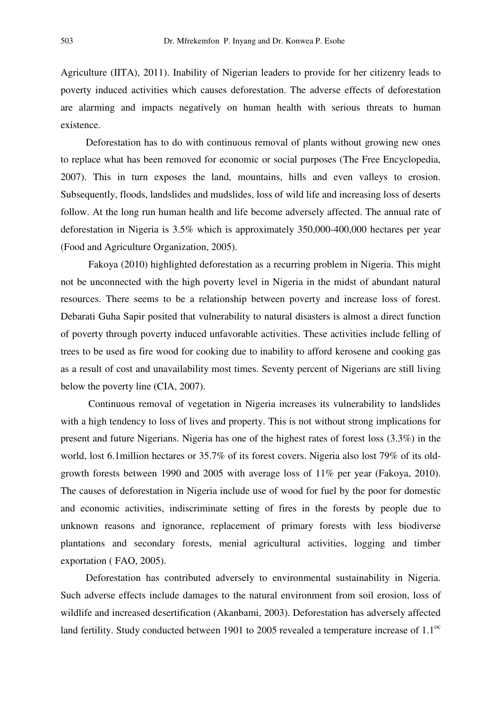Agriculture (IITA), 2011). Inability of Nigerian leaders to provide for her citizenry leads to poverty induced activities which causes deforestation. The adverse effects of deforestation are alarming and impacts negatively on human health with serious threats to human existence.

 Deforestation has to do with continuous removal of plants without growing new ones to replace what has been removed for economic or social purposes (The Free Encyclopedia, 2007). This in turn exposes the land, mountains, hills and even valleys to erosion. Subsequently, floods, landslides and mudslides, loss of wild life and increasing loss of deserts follow. At the long run human health and life become adversely affected. The annual rate of deforestation in Nigeria is 3.5% which is approximately 350,000-400,000 hectares per year (Food and Agriculture Organization, 2005).

 Fakoya (2010) highlighted deforestation as a recurring problem in Nigeria. This might not be unconnected with the high poverty level in Nigeria in the midst of abundant natural resources. There seems to be a relationship between poverty and increase loss of forest. Debarati Guha Sapir posited that vulnerability to natural disasters is almost a direct function of poverty through poverty induced unfavorable activities. These activities include felling of trees to be used as fire wood for cooking due to inability to afford kerosene and cooking gas as a result of cost and unavailability most times. Seventy percent of Nigerians are still living below the poverty line (CIA, 2007).

 Continuous removal of vegetation in Nigeria increases its vulnerability to landslides with a high tendency to loss of lives and property. This is not without strong implications for present and future Nigerians. Nigeria has one of the highest rates of forest loss (3.3%) in the world, lost 6.1million hectares or 35.7% of its forest covers. Nigeria also lost 79% of its oldgrowth forests between 1990 and 2005 with average loss of 11% per year (Fakoya, 2010). The causes of deforestation in Nigeria include use of wood for fuel by the poor for domestic and economic activities, indiscriminate setting of fires in the forests by people due to unknown reasons and ignorance, replacement of primary forests with less biodiverse plantations and secondary forests, menial agricultural activities, logging and timber exportation ( FAO, 2005).

 Deforestation has contributed adversely to environmental sustainability in Nigeria. Such adverse effects include damages to the natural environment from soil erosion, loss of wildlife and increased desertification (Akanbami, 2003). Deforestation has adversely affected land fertility. Study conducted between 1901 to 2005 revealed a temperature increase of  $1.1<sup>oc</sup>$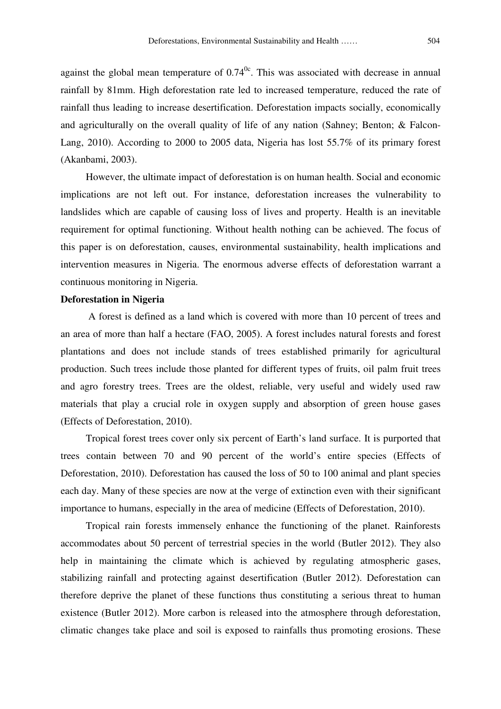against the global mean temperature of  $0.74<sup>0c</sup>$ . This was associated with decrease in annual rainfall by 81mm. High deforestation rate led to increased temperature, reduced the rate of rainfall thus leading to increase desertification. Deforestation impacts socially, economically and agriculturally on the overall quality of life of any nation (Sahney; Benton; & Falcon-Lang, 2010). According to 2000 to 2005 data, Nigeria has lost 55.7% of its primary forest (Akanbami, 2003).

 However, the ultimate impact of deforestation is on human health. Social and economic implications are not left out. For instance, deforestation increases the vulnerability to landslides which are capable of causing loss of lives and property. Health is an inevitable requirement for optimal functioning. Without health nothing can be achieved. The focus of this paper is on deforestation, causes, environmental sustainability, health implications and intervention measures in Nigeria. The enormous adverse effects of deforestation warrant a continuous monitoring in Nigeria.

# Deforestation in Nigeria

 A forest is defined as a land which is covered with more than 10 percent of trees and an area of more than half a hectare (FAO, 2005). A forest includes natural forests and forest plantations and does not include stands of trees established primarily for agricultural production. Such trees include those planted for different types of fruits, oil palm fruit trees and agro forestry trees. Trees are the oldest, reliable, very useful and widely used raw materials that play a crucial role in oxygen supply and absorption of green house gases (Effects of Deforestation, 2010).

 Tropical forest trees cover only six percent of Earth's land surface. It is purported that trees contain between 70 and 90 percent of the world's entire species (Effects of Deforestation, 2010). Deforestation has caused the loss of 50 to 100 animal and plant species each day. Many of these species are now at the verge of extinction even with their significant importance to humans, especially in the area of medicine (Effects of Deforestation, 2010).

 Tropical rain forests immensely enhance the functioning of the planet. Rainforests accommodates about 50 percent of terrestrial species in the world (Butler 2012). They also help in maintaining the climate which is achieved by regulating atmospheric gases, stabilizing rainfall and protecting against desertification (Butler 2012). Deforestation can therefore deprive the planet of these functions thus constituting a serious threat to human existence (Butler 2012). More carbon is released into the atmosphere through deforestation, climatic changes take place and soil is exposed to rainfalls thus promoting erosions. These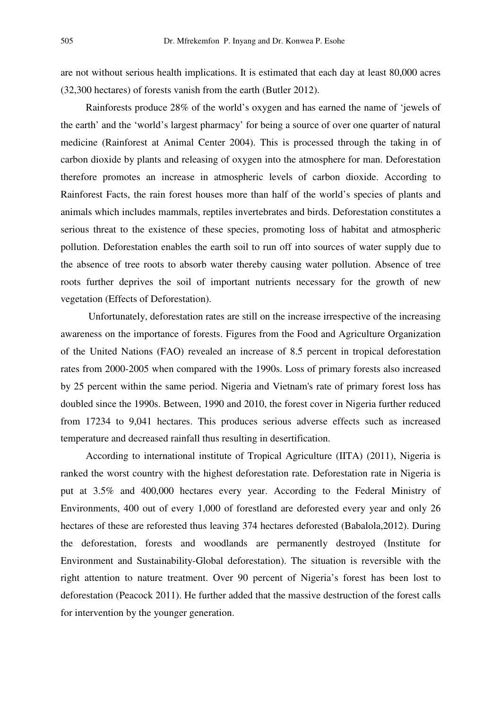are not without serious health implications. It is estimated that each day at least 80,000 acres (32,300 hectares) of forests vanish from the earth (Butler 2012).

 Rainforests produce 28% of the world's oxygen and has earned the name of 'jewels of the earth' and the 'world's largest pharmacy' for being a source of over one quarter of natural medicine (Rainforest at Animal Center 2004). This is processed through the taking in of carbon dioxide by plants and releasing of oxygen into the atmosphere for man. Deforestation therefore promotes an increase in atmospheric levels of carbon dioxide. According to Rainforest Facts, the rain forest houses more than half of the world's species of plants and animals which includes mammals, reptiles invertebrates and birds. Deforestation constitutes a serious threat to the existence of these species, promoting loss of habitat and atmospheric pollution. Deforestation enables the earth soil to run off into sources of water supply due to the absence of tree roots to absorb water thereby causing water pollution. Absence of tree roots further deprives the soil of important nutrients necessary for the growth of new vegetation (Effects of Deforestation).

 Unfortunately, deforestation rates are still on the increase irrespective of the increasing awareness on the importance of forests. Figures from the Food and Agriculture Organization of the United Nations (FAO) revealed an increase of 8.5 percent in tropical deforestation rates from 2000-2005 when compared with the 1990s. Loss of primary forests also increased by 25 percent within the same period. Nigeria and Vietnam's rate of primary forest loss has doubled since the 1990s. Between, 1990 and 2010, the forest cover in Nigeria further reduced from 17234 to 9,041 hectares. This produces serious adverse effects such as increased temperature and decreased rainfall thus resulting in desertification.

 According to international institute of Tropical Agriculture (IITA) (2011), Nigeria is ranked the worst country with the highest deforestation rate. Deforestation rate in Nigeria is put at 3.5% and 400,000 hectares every year. According to the Federal Ministry of Environments, 400 out of every 1,000 of forestland are deforested every year and only 26 hectares of these are reforested thus leaving 374 hectares deforested (Babalola,2012). During the deforestation, forests and woodlands are permanently destroyed (Institute for Environment and Sustainability-Global deforestation). The situation is reversible with the right attention to nature treatment. Over 90 percent of Nigeria's forest has been lost to deforestation (Peacock 2011). He further added that the massive destruction of the forest calls for intervention by the younger generation.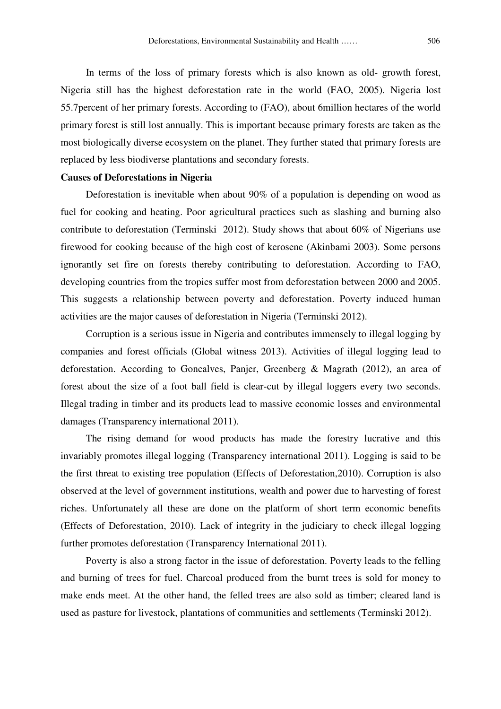In terms of the loss of primary forests which is also known as old- growth forest, Nigeria still has the highest deforestation rate in the world (FAO, 2005). Nigeria lost 55.7percent of her primary forests. According to (FAO), about 6million hectares of the world primary forest is still lost annually. This is important because primary forests are taken as the most biologically diverse ecosystem on the planet. They further stated that primary forests are replaced by less biodiverse plantations and secondary forests.

#### Causes of Deforestations in Nigeria

 Deforestation is inevitable when about 90% of a population is depending on wood as fuel for cooking and heating. Poor agricultural practices such as slashing and burning also contribute to deforestation (Terminski 2012). Study shows that about 60% of Nigerians use firewood for cooking because of the high cost of kerosene (Akinbami 2003). Some persons ignorantly set fire on forests thereby contributing to deforestation. According to FAO, developing countries from the tropics suffer most from deforestation between 2000 and 2005. This suggests a relationship between poverty and deforestation. Poverty induced human activities are the major causes of deforestation in Nigeria (Terminski 2012).

 Corruption is a serious issue in Nigeria and contributes immensely to illegal logging by companies and forest officials (Global witness 2013). Activities of illegal logging lead to deforestation. According to Goncalves, Panjer, Greenberg & Magrath (2012), an area of forest about the size of a foot ball field is clear-cut by illegal loggers every two seconds. Illegal trading in timber and its products lead to massive economic losses and environmental damages (Transparency international 2011).

 The rising demand for wood products has made the forestry lucrative and this invariably promotes illegal logging (Transparency international 2011). Logging is said to be the first threat to existing tree population (Effects of Deforestation,2010). Corruption is also observed at the level of government institutions, wealth and power due to harvesting of forest riches. Unfortunately all these are done on the platform of short term economic benefits (Effects of Deforestation, 2010). Lack of integrity in the judiciary to check illegal logging further promotes deforestation (Transparency International 2011).

 Poverty is also a strong factor in the issue of deforestation. Poverty leads to the felling and burning of trees for fuel. Charcoal produced from the burnt trees is sold for money to make ends meet. At the other hand, the felled trees are also sold as timber; cleared land is used as pasture for livestock, plantations of communities and settlements (Terminski 2012).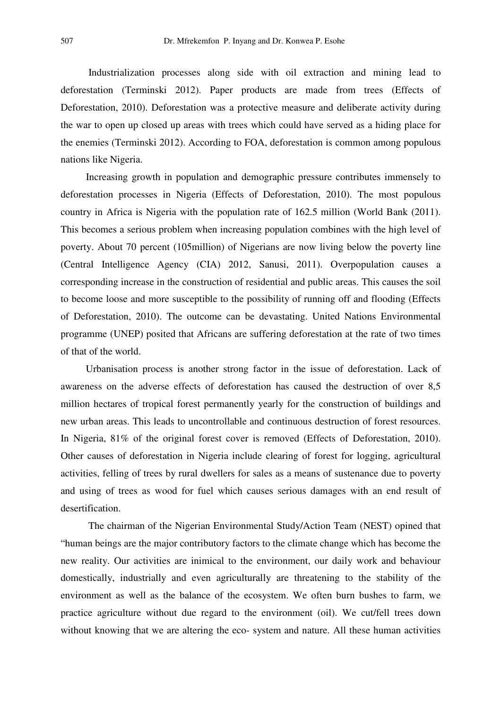Industrialization processes along side with oil extraction and mining lead to deforestation (Terminski 2012). Paper products are made from trees (Effects of Deforestation, 2010). Deforestation was a protective measure and deliberate activity during the war to open up closed up areas with trees which could have served as a hiding place for the enemies (Terminski 2012). According to FOA, deforestation is common among populous nations like Nigeria.

 Increasing growth in population and demographic pressure contributes immensely to deforestation processes in Nigeria (Effects of Deforestation, 2010). The most populous country in Africa is Nigeria with the population rate of 162.5 million (World Bank (2011). This becomes a serious problem when increasing population combines with the high level of poverty. About 70 percent (105million) of Nigerians are now living below the poverty line (Central Intelligence Agency (CIA) 2012, Sanusi, 2011). Overpopulation causes a corresponding increase in the construction of residential and public areas. This causes the soil to become loose and more susceptible to the possibility of running off and flooding (Effects of Deforestation, 2010). The outcome can be devastating. United Nations Environmental programme (UNEP) posited that Africans are suffering deforestation at the rate of two times of that of the world.

 Urbanisation process is another strong factor in the issue of deforestation. Lack of awareness on the adverse effects of deforestation has caused the destruction of over 8,5 million hectares of tropical forest permanently yearly for the construction of buildings and new urban areas. This leads to uncontrollable and continuous destruction of forest resources. In Nigeria, 81% of the original forest cover is removed (Effects of Deforestation, 2010). Other causes of deforestation in Nigeria include clearing of forest for logging, agricultural activities, felling of trees by rural dwellers for sales as a means of sustenance due to poverty and using of trees as wood for fuel which causes serious damages with an end result of desertification.

 The chairman of the Nigerian Environmental Study/Action Team (NEST) opined that "human beings are the major contributory factors to the climate change which has become the new reality. Our activities are inimical to the environment, our daily work and behaviour domestically, industrially and even agriculturally are threatening to the stability of the environment as well as the balance of the ecosystem. We often burn bushes to farm, we practice agriculture without due regard to the environment (oil). We cut/fell trees down without knowing that we are altering the eco- system and nature. All these human activities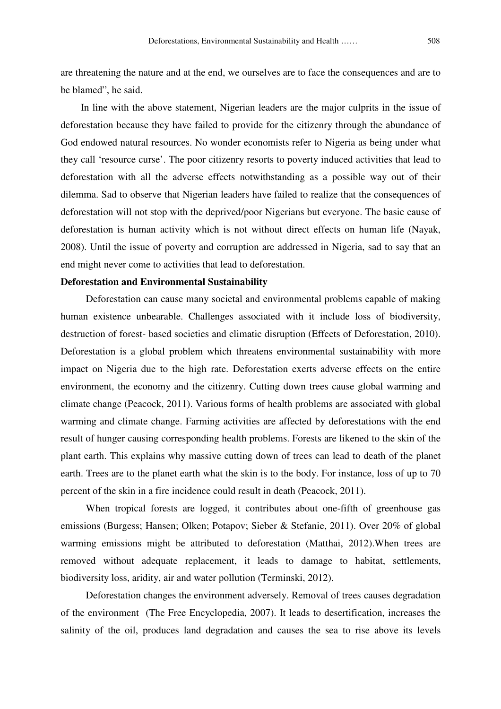are threatening the nature and at the end, we ourselves are to face the consequences and are to be blamed", he said.

 In line with the above statement, Nigerian leaders are the major culprits in the issue of deforestation because they have failed to provide for the citizenry through the abundance of God endowed natural resources. No wonder economists refer to Nigeria as being under what they call 'resource curse'. The poor citizenry resorts to poverty induced activities that lead to deforestation with all the adverse effects notwithstanding as a possible way out of their dilemma. Sad to observe that Nigerian leaders have failed to realize that the consequences of deforestation will not stop with the deprived/poor Nigerians but everyone. The basic cause of deforestation is human activity which is not without direct effects on human life (Nayak, 2008). Until the issue of poverty and corruption are addressed in Nigeria, sad to say that an end might never come to activities that lead to deforestation.

# Deforestation and Environmental Sustainability

 Deforestation can cause many societal and environmental problems capable of making human existence unbearable. Challenges associated with it include loss of biodiversity, destruction of forest- based societies and climatic disruption (Effects of Deforestation, 2010). Deforestation is a global problem which threatens environmental sustainability with more impact on Nigeria due to the high rate. Deforestation exerts adverse effects on the entire environment, the economy and the citizenry. Cutting down trees cause global warming and climate change (Peacock, 2011). Various forms of health problems are associated with global warming and climate change. Farming activities are affected by deforestations with the end result of hunger causing corresponding health problems. Forests are likened to the skin of the plant earth. This explains why massive cutting down of trees can lead to death of the planet earth. Trees are to the planet earth what the skin is to the body. For instance, loss of up to 70 percent of the skin in a fire incidence could result in death (Peacock, 2011).

 When tropical forests are logged, it contributes about one-fifth of greenhouse gas emissions (Burgess; Hansen; Olken; Potapov; Sieber & Stefanie, 2011). Over 20% of global warming emissions might be attributed to deforestation (Matthai, 2012).When trees are removed without adequate replacement, it leads to damage to habitat, settlements, biodiversity loss, aridity, air and water pollution (Terminski, 2012).

 Deforestation changes the environment adversely. Removal of trees causes degradation of the environment (The Free Encyclopedia, 2007). It leads to desertification, increases the salinity of the oil, produces land degradation and causes the sea to rise above its levels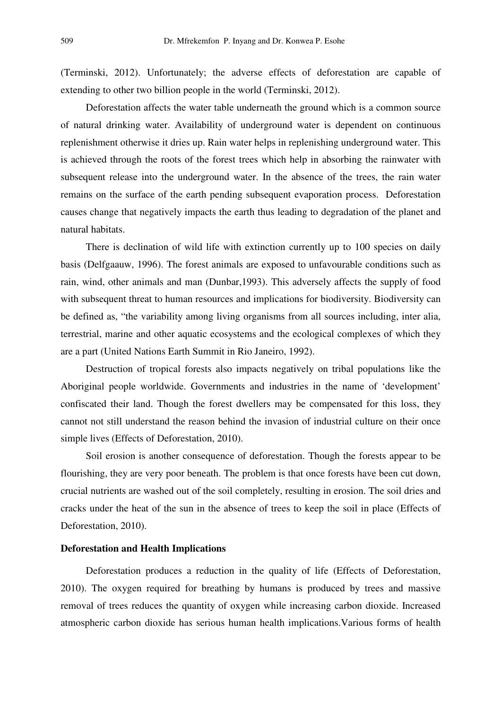(Terminski, 2012). Unfortunately; the adverse effects of deforestation are capable of extending to other two billion people in the world (Terminski, 2012).

 Deforestation affects the water table underneath the ground which is a common source of natural drinking water. Availability of underground water is dependent on continuous replenishment otherwise it dries up. Rain water helps in replenishing underground water. This is achieved through the roots of the forest trees which help in absorbing the rainwater with subsequent release into the underground water. In the absence of the trees, the rain water remains on the surface of the earth pending subsequent evaporation process. Deforestation causes change that negatively impacts the earth thus leading to degradation of the planet and natural habitats.

There is declination of wild life with extinction currently up to 100 species on daily basis (Delfgaauw, 1996). The forest animals are exposed to unfavourable conditions such as rain, wind, other animals and man (Dunbar,1993). This adversely affects the supply of food with subsequent threat to human resources and implications for biodiversity. Biodiversity can be defined as, "the variability among living organisms from all sources including, inter alia, terrestrial, marine and other aquatic ecosystems and the ecological complexes of which they are a part (United Nations Earth Summit in Rio Janeiro, 1992).

 Destruction of tropical forests also impacts negatively on tribal populations like the Aboriginal people worldwide. Governments and industries in the name of 'development' confiscated their land. Though the forest dwellers may be compensated for this loss, they cannot not still understand the reason behind the invasion of industrial culture on their once simple lives (Effects of Deforestation, 2010).

 Soil erosion is another consequence of deforestation. Though the forests appear to be flourishing, they are very poor beneath. The problem is that once forests have been cut down, crucial nutrients are washed out of the soil completely, resulting in erosion. The soil dries and cracks under the heat of the sun in the absence of trees to keep the soil in place (Effects of Deforestation, 2010).

### Deforestation and Health Implications

 Deforestation produces a reduction in the quality of life (Effects of Deforestation, 2010). The oxygen required for breathing by humans is produced by trees and massive removal of trees reduces the quantity of oxygen while increasing carbon dioxide. Increased atmospheric carbon dioxide has serious human health implications.Various forms of health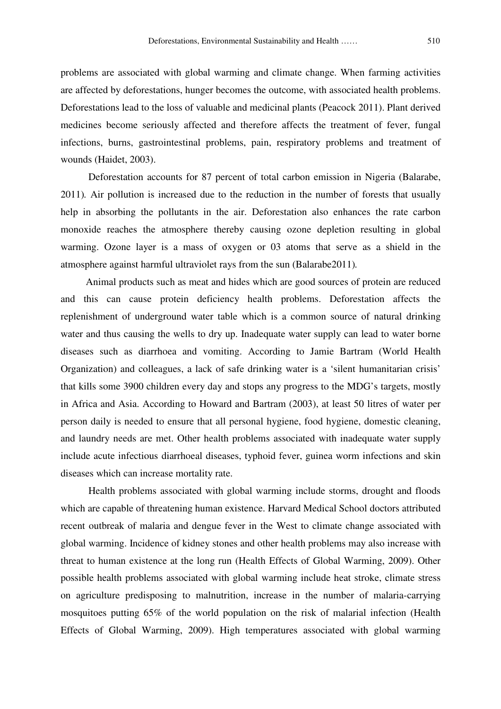problems are associated with global warming and climate change. When farming activities are affected by deforestations, hunger becomes the outcome, with associated health problems. Deforestations lead to the loss of valuable and medicinal plants (Peacock 2011). Plant derived medicines become seriously affected and therefore affects the treatment of fever, fungal infections, burns, gastrointestinal problems, pain, respiratory problems and treatment of wounds (Haidet, 2003).

 Deforestation accounts for 87 percent of total carbon emission in Nigeria (Balarabe, 2011). Air pollution is increased due to the reduction in the number of forests that usually help in absorbing the pollutants in the air. Deforestation also enhances the rate carbon monoxide reaches the atmosphere thereby causing ozone depletion resulting in global warming. Ozone layer is a mass of oxygen or 03 atoms that serve as a shield in the atmosphere against harmful ultraviolet rays from the sun (Balarabe2011).

 Animal products such as meat and hides which are good sources of protein are reduced and this can cause protein deficiency health problems. Deforestation affects the replenishment of underground water table which is a common source of natural drinking water and thus causing the wells to dry up. Inadequate water supply can lead to water borne diseases such as diarrhoea and vomiting. According to Jamie Bartram (World Health Organization) and colleagues, a lack of safe drinking water is a 'silent humanitarian crisis' that kills some 3900 children every day and stops any progress to the MDG's targets, mostly in Africa and Asia. According to Howard and Bartram (2003), at least 50 litres of water per person daily is needed to ensure that all personal hygiene, food hygiene, domestic cleaning, and laundry needs are met. Other health problems associated with inadequate water supply include acute infectious diarrhoeal diseases, typhoid fever, guinea worm infections and skin diseases which can increase mortality rate.

 Health problems associated with global warming include storms, drought and floods which are capable of threatening human existence. Harvard Medical School doctors attributed recent outbreak of malaria and dengue fever in the West to climate change associated with global warming. Incidence of kidney stones and other health problems may also increase with threat to human existence at the long run (Health Effects of Global Warming, 2009). Other possible health problems associated with global warming include heat stroke, climate stress on agriculture predisposing to malnutrition, increase in the number of malaria-carrying mosquitoes putting 65% of the world population on the risk of malarial infection (Health Effects of Global Warming, 2009). High temperatures associated with global warming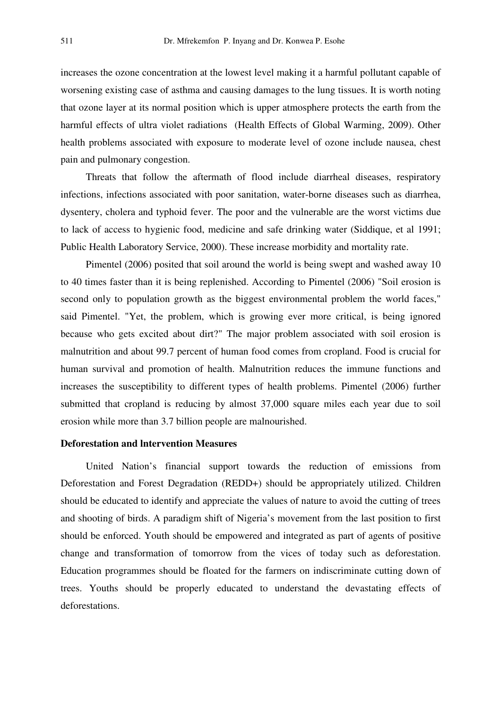increases the ozone concentration at the lowest level making it a harmful pollutant capable of worsening existing case of asthma and causing damages to the lung tissues. It is worth noting that ozone layer at its normal position which is upper atmosphere protects the earth from the harmful effects of ultra violet radiations (Health Effects of Global Warming, 2009). Other health problems associated with exposure to moderate level of ozone include nausea, chest pain and pulmonary congestion.

 Threats that follow the aftermath of flood include diarrheal diseases, respiratory infections, infections associated with poor sanitation, water-borne diseases such as diarrhea, dysentery, cholera and typhoid fever. The poor and the vulnerable are the worst victims due to lack of access to hygienic food, medicine and safe drinking water (Siddique, et al 1991; Public Health Laboratory Service, 2000). These increase morbidity and mortality rate.

 Pimentel (2006) posited that soil around the world is being swept and washed away 10 to 40 times faster than it is being replenished. According to Pimentel (2006) "Soil erosion is second only to population growth as the biggest environmental problem the world faces," said Pimentel. "Yet, the problem, which is growing ever more critical, is being ignored because who gets excited about dirt?" The major problem associated with soil erosion is malnutrition and about 99.7 percent of human food comes from cropland. Food is crucial for human survival and promotion of health. Malnutrition reduces the immune functions and increases the susceptibility to different types of health problems. Pimentel (2006) further submitted that cropland is reducing by almost 37,000 square miles each year due to soil erosion while more than 3.7 billion people are malnourished.

# Deforestation and lntervention Measures

 United Nation's financial support towards the reduction of emissions from Deforestation and Forest Degradation (REDD+) should be appropriately utilized. Children should be educated to identify and appreciate the values of nature to avoid the cutting of trees and shooting of birds. A paradigm shift of Nigeria's movement from the last position to first should be enforced. Youth should be empowered and integrated as part of agents of positive change and transformation of tomorrow from the vices of today such as deforestation. Education programmes should be floated for the farmers on indiscriminate cutting down of trees. Youths should be properly educated to understand the devastating effects of deforestations.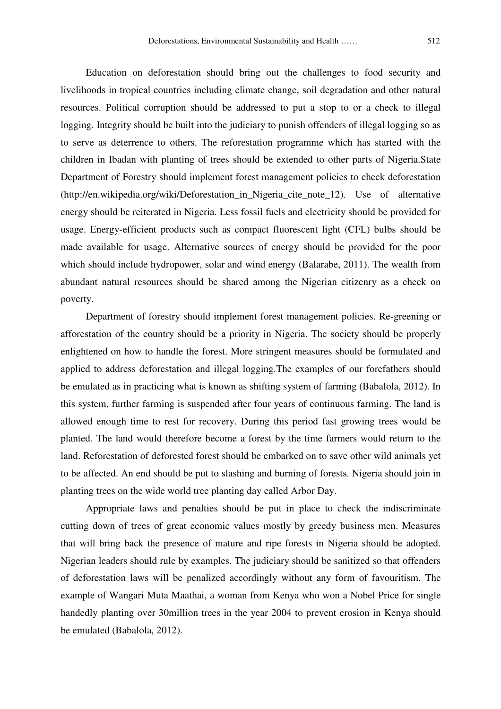Education on deforestation should bring out the challenges to food security and livelihoods in tropical countries including climate change, soil degradation and other natural resources. Political corruption should be addressed to put a stop to or a check to illegal logging. Integrity should be built into the judiciary to punish offenders of illegal logging so as to serve as deterrence to others. The reforestation programme which has started with the children in Ibadan with planting of trees should be extended to other parts of Nigeria.State Department of Forestry should implement forest management policies to check deforestation (http://en.wikipedia.org/wiki/Deforestation\_in\_Nigeria\_cite\_note\_12). Use of alternative energy should be reiterated in Nigeria. Less fossil fuels and electricity should be provided for usage. Energy-efficient products such as compact fluorescent light (CFL) bulbs should be made available for usage. Alternative sources of energy should be provided for the poor which should include hydropower, solar and wind energy (Balarabe, 2011). The wealth from abundant natural resources should be shared among the Nigerian citizenry as a check on poverty.

 Department of forestry should implement forest management policies. Re-greening or afforestation of the country should be a priority in Nigeria. The society should be properly enlightened on how to handle the forest. More stringent measures should be formulated and applied to address deforestation and illegal logging.The examples of our forefathers should be emulated as in practicing what is known as shifting system of farming (Babalola, 2012). In this system, further farming is suspended after four years of continuous farming. The land is allowed enough time to rest for recovery. During this period fast growing trees would be planted. The land would therefore become a forest by the time farmers would return to the land. Reforestation of deforested forest should be embarked on to save other wild animals yet to be affected. An end should be put to slashing and burning of forests. Nigeria should join in planting trees on the wide world tree planting day called Arbor Day.

 Appropriate laws and penalties should be put in place to check the indiscriminate cutting down of trees of great economic values mostly by greedy business men. Measures that will bring back the presence of mature and ripe forests in Nigeria should be adopted. Nigerian leaders should rule by examples. The judiciary should be sanitized so that offenders of deforestation laws will be penalized accordingly without any form of favouritism. The example of Wangari Muta Maathai, a woman from Kenya who won a Nobel Price for single handedly planting over 30million trees in the year 2004 to prevent erosion in Kenya should be emulated (Babalola, 2012).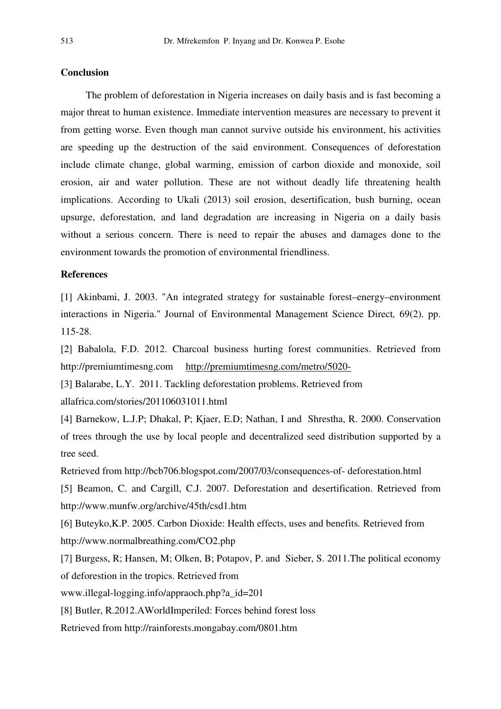# **Conclusion**

 The problem of deforestation in Nigeria increases on daily basis and is fast becoming a major threat to human existence. Immediate intervention measures are necessary to prevent it from getting worse. Even though man cannot survive outside his environment, his activities are speeding up the destruction of the said environment. Consequences of deforestation include climate change, global warming, emission of carbon dioxide and monoxide, soil erosion, air and water pollution. These are not without deadly life threatening health implications. According to Ukali (2013) soil erosion, desertification, bush burning, ocean upsurge, deforestation, and land degradation are increasing in Nigeria on a daily basis without a serious concern. There is need to repair the abuses and damages done to the environment towards the promotion of environmental friendliness.

# References

[1] Akinbami, J. 2003. "An integrated strategy for sustainable forest–energy–environment interactions in Nigeria." Journal of Environmental Management Science Direct, 69(2). pp. 115-28.

[2] Babalola, F.D. 2012. Charcoal business hurting forest communities. Retrieved from http://premiumtimesng.com http://premiumtimesng.com/metro/5020-

[3] Balarabe, L.Y. 2011. Tackling deforestation problems. Retrieved from allafrica.com/stories/201106031011.html

[4] Barnekow, L.J.P; Dhakal, P; Kjaer, E.D; Nathan, I and Shrestha, R. 2000. Conservation of trees through the use by local people and decentralized seed distribution supported by a tree seed.

Retrieved from http://bcb706.blogspot.com/2007/03/consequences-of- deforestation.html [5] Beamon, C. and Cargill, C.J. 2007. Deforestation and desertification. Retrieved from http://www.munfw.org/archive/45th/csd1.htm

[6] Buteyko,K.P. 2005. Carbon Dioxide: Health effects, uses and benefits. Retrieved from http://www.normalbreathing.com/CO2.php

[7] Burgess, R; Hansen, M; Olken, B; Potapov, P. and Sieber, S. 2011.The political economy of deforestion in the tropics. Retrieved from

www.illegal-logging.info/appraoch.php?a\_id=201

[8] Butler, R.2012.AWorldImperiled: Forces behind forest loss

Retrieved from http://rainforests.mongabay.com/0801.htm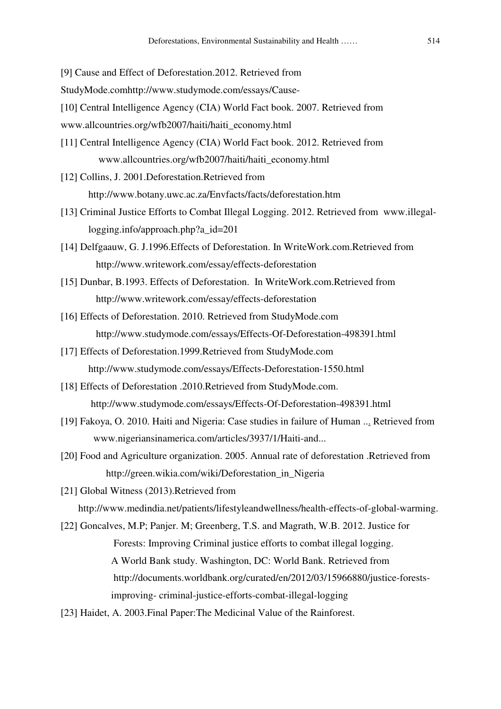[9] Cause and Effect of Deforestation.2012. Retrieved from

StudyMode.comhttp://www.studymode.com/essays/Cause-

[10] Central Intelligence Agency (CIA) World Fact book. 2007. Retrieved from

www.allcountries.org/wfb2007/haiti/haiti\_economy.html

[11] Central Intelligence Agency (CIA) World Fact book. 2012. Retrieved from www.allcountries.org/wfb2007/haiti/haiti\_economy.html

[12] Collins, J. 2001.Deforestation.Retrieved from http://www.botany.uwc.ac.za/Envfacts/facts/deforestation.htm

- [13] Criminal Justice Efforts to Combat Illegal Logging. 2012. Retrieved from www.illegallogging.info/approach.php?a\_id=201
- [14] Delfgaauw, G. J.1996.Effects of Deforestation. In WriteWork.com.Retrieved from http://www.writework.com/essay/effects-deforestation
- [15] Dunbar, B.1993. Effects of Deforestation. In WriteWork.com.Retrieved from http://www.writework.com/essay/effects-deforestation
- [16] Effects of Deforestation. 2010. Retrieved from StudyMode.com http://www.studymode.com/essays/Effects-Of-Deforestation-498391.html
- [17] Effects of Deforestation.1999.Retrieved from StudyMode.com http://www.studymode.com/essays/Effects-Deforestation-1550.html
- [18] Effects of Deforestation .2010.Retrieved from StudyMode.com. http://www.studymode.com/essays/Effects-Of-Deforestation-498391.html
- [19] Fakoya, O. 2010. Haiti and Nigeria: Case studies in failure of Human ... Retrieved from www.nigeriansinamerica.com/articles/3937/1/Haiti-and...
- [20] Food and Agriculture organization. 2005. Annual rate of deforestation .Retrieved from http://green.wikia.com/wiki/Deforestation\_in\_Nigeria

[21] Global Witness (2013).Retrieved from http://www.medindia.net/patients/lifestyleandwellness/health-effects-of-global-warming.

[22] Goncalves, M.P; Panjer. M; Greenberg, T.S. and Magrath, W.B. 2012. Justice for Forests: Improving Criminal justice efforts to combat illegal logging. A World Bank study. Washington, DC: World Bank. Retrieved from http://documents.worldbank.org/curated/en/2012/03/15966880/justice-forests improving- criminal-justice-efforts-combat-illegal-logging

[23] Haidet, A. 2003.Final Paper:The Medicinal Value of the Rainforest.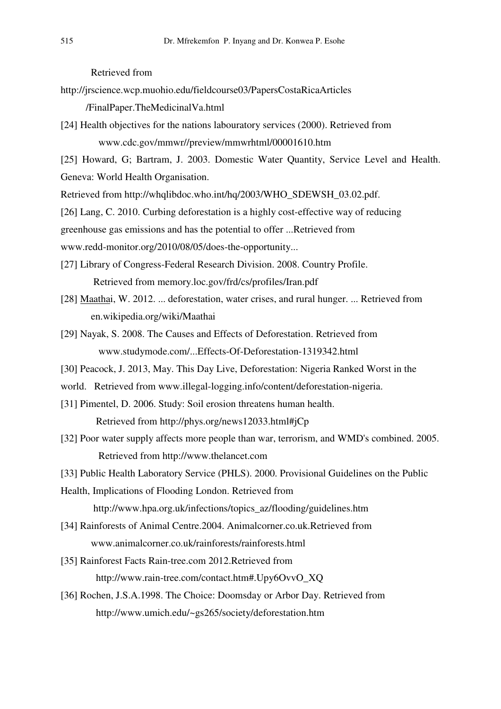Retrieved from

http://jrscience.wcp.muohio.edu/fieldcourse03/PapersCostaRicaArticles

/FinalPaper.TheMedicinalVa.html

- [24] Health objectives for the nations labouratory services (2000). Retrieved from www.cdc.gov/mmwr//preview/mmwrhtml/00001610.htm
- [25] Howard, G; Bartram, J. 2003. Domestic Water Quantity, Service Level and Health. Geneva: World Health Organisation.

Retrieved from http://whqlibdoc.who.int/hq/2003/WHO\_SDEWSH\_03.02.pdf.

[26] Lang, C. 2010. Curbing deforestation is a highly cost-effective way of reducing

greenhouse gas emissions and has the potential to offer ...Retrieved from

www.redd-monitor.org/2010/08/05/does-the-opportunity...

- [27] Library of Congress-Federal Research Division. 2008. Country Profile. Retrieved from memory.loc.gov/frd/cs/profiles/Iran.pdf
- [28] Maathai, W. 2012. ... deforestation, water crises, and rural hunger. ... Retrieved from en.wikipedia.org/wiki/Maathai
- [29] Nayak, S. 2008. The Causes and Effects of Deforestation. Retrieved from www.studymode.com/...Effects-Of-Deforestation-1319342.html
- [30] Peacock, J. 2013, May. This Day Live, Deforestation: Nigeria Ranked Worst in the
- world. Retrieved from www.illegal-logging.info/content/deforestation-nigeria.
- [31] Pimentel, D. 2006. Study: Soil erosion threatens human health.

Retrieved from http://phys.org/news12033.html#jCp

- [32] Poor water supply affects more people than war, terrorism, and WMD's combined. 2005. Retrieved from http://www.thelancet.com
- [33] Public Health Laboratory Service (PHLS). 2000. Provisional Guidelines on the Public
- Health, Implications of Flooding London. Retrieved from

http://www.hpa.org.uk/infections/topics\_az/flooding/guidelines.htm

- [34] Rainforests of Animal Centre.2004. Animalcorner.co.uk.Retrieved from www.animalcorner.co.uk/rainforests/rainforests.html
- [35] Rainforest Facts Rain-tree.com 2012.Retrieved from http://www.rain-tree.com/contact.htm#.Upy6OvvO\_XQ
- [36] Rochen, J.S.A.1998. The Choice: Doomsday or Arbor Day. Retrieved from http://www.umich.edu/~gs265/society/deforestation.htm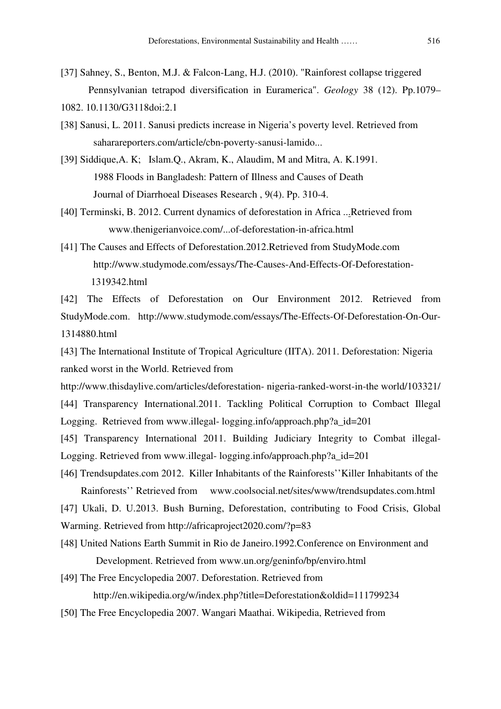- [37] Sahney, S., Benton, M.J. & Falcon-Lang, H.J. (2010). "Rainforest collapse triggered Pennsylvanian tetrapod diversification in Euramerica". Geology 38 (12). Pp.1079– 1082. 10.1130/G3118doi:2.1
- [38] Sanusi, L. 2011. Sanusi predicts increase in Nigeria's poverty level. Retrieved from saharareporters.com/article/cbn-poverty-sanusi-lamido...
- [39] Siddique,A. K; Islam.Q., Akram, K., Alaudim, M and Mitra, A. K.1991. 1988 Floods in Bangladesh: Pattern of Illness and Causes of Death Journal of Diarrhoeal Diseases Research , 9(4). Pp. 310-4.
- [40] Terminski, B. 2012. Current dynamics of deforestation in Africa ...Retrieved from www.thenigerianvoice.com/...of-deforestation-in-africa.html
- [41] The Causes and Effects of Deforestation.2012.Retrieved from StudyMode.com http://www.studymode.com/essays/The-Causes-And-Effects-Of-Deforestation- 1319342.html

[42] The Effects of Deforestation on Our Environment 2012. Retrieved from StudyMode.com. http://www.studymode.com/essays/The-Effects-Of-Deforestation-On-Our-1314880.html

[43] The International Institute of Tropical Agriculture (IITA). 2011. Deforestation: Nigeria ranked worst in the World. Retrieved from

http://www.thisdaylive.com/articles/deforestation- nigeria-ranked-worst-in-the world/103321/ [44] Transparency International.2011. Tackling Political Corruption to Combact Illegal Logging. Retrieved from www.illegal- logging.info/approach.php?a\_id=201

[45] Transparency International 2011. Building Judiciary Integrity to Combat illegal-Logging. Retrieved from www.illegal- logging.info/approach.php?a\_id=201

[46] Trendsupdates.com 2012. Killer Inhabitants of the Rainforests''Killer Inhabitants of the Rainforests'' Retrieved from www.coolsocial.net/sites/www/trendsupdates.com.html [47] Ukali, D. U.2013. Bush Burning, Deforestation, contributing to Food Crisis, Global Warming. Retrieved from http://africaproject2020.com/?p=83

[48] United Nations Earth Summit in Rio de Janeiro.1992.Conference on Environment and Development. Retrieved from www.un.org/geninfo/bp/enviro.html

[49] The Free Encyclopedia 2007. Deforestation. Retrieved from http://en.wikipedia.org/w/index.php?title=Deforestation&oldid=111799234

[50] The Free Encyclopedia 2007. Wangari Maathai. Wikipedia, Retrieved from